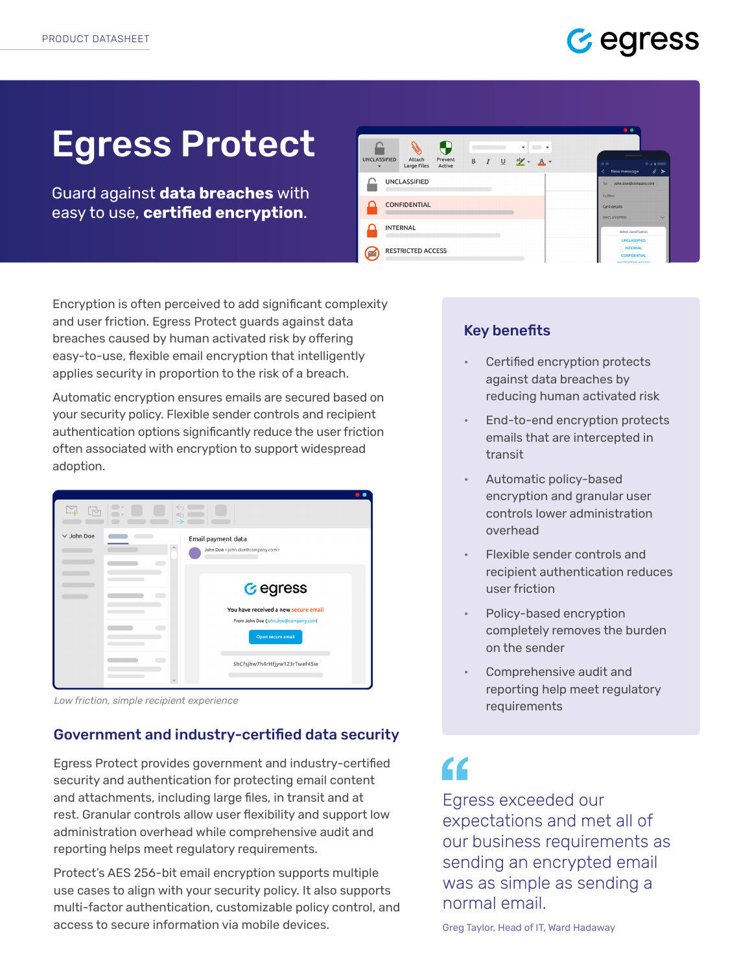### Gedress

# Egress Protect

Guard against **data breaches** with easy to use, **certified encryption**.



Encryption is often perceived to add significant complexity and user friction. Egress Protect guards against data breaches caused by human activated risk by offering easy-to-use, flexible email encryption that intelligently applies security in proportion to the risk of a breach.

Automatic encryption ensures emails are secured based on your security policy. Flexible sender controls and recipient authentication options significantly reduce the user friction often associated with encryption to support widespread adoption.

|                 | $\leftarrow$                                                                 |  |
|-----------------|------------------------------------------------------------------------------|--|
| $\vee$ John Doe | Email payment data<br>John Doe <john.doe@company.com></john.doe@company.com> |  |
|                 |                                                                              |  |
|                 | <b>G</b> egress                                                              |  |
|                 | You have received a new secure email                                         |  |
|                 | From John Doe (john.doe@company.com)<br>Open secure email                    |  |
|                 | 5hCfsjhw7h4rHfjyw123rTwef45w                                                 |  |
|                 |                                                                              |  |

*Low friction, simple recipient experience*

#### Government and industry-certified data security

Egress Protect provides government and industry-certified security and authentication for protecting email content and attachments, including large files, in transit and at rest. Granular controls allow user flexibility and support low administration overhead while comprehensive audit and reporting helps meet regulatory requirements.

Protect's AES 256-bit email encryption supports multiple use cases to align with your security policy. It also supports multi-factor authentication, customizable policy control, and access to secure information via mobile devices.

#### Key benefits

- Certified encryption protects against data breaches by reducing human activated risk
- End-to-end encryption protects emails that are intercepted in transit
- Automatic policy-based encryption and granular user controls lower administration overhead
- Flexible sender controls and recipient authentication reduces user friction
- Policy-based encryption completely removes the burden on the sender
- Comprehensive audit and reporting help meet regulatory requirements

## "

Egress exceeded our expectations and met all of our business requirements as sending an encrypted email was as simple as sending a normal email.